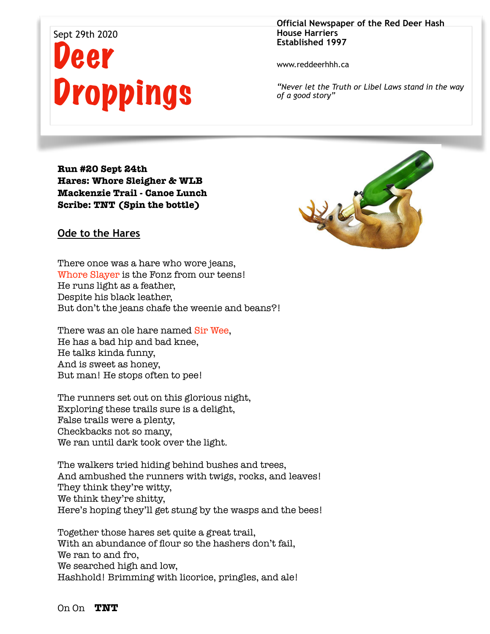## Sept 29th 2020 eer Droppings

**Official Newspaper of the Red Deer Hash House Harriers Established 1997** 

www.reddeerhhh.ca

*"Never let the Truth or Libel Laws stand in the way of a good story"*

**Run #20 Sept 24th Hares: Whore Sleigher & WLB Mackenzie Trail - Canoe Lunch Scribe: TNT (Spin the bottle)**



**Ode to the Hares** 

There once was a hare who wore jeans, Whore Slayer is the Fonz from our teens! He runs light as a feather, Despite his black leather, But don't the jeans chafe the weenie and beans?!

There was an ole hare named Sir Wee, He has a bad hip and bad knee, He talks kinda funny, And is sweet as honey, But man! He stops often to pee!

The runners set out on this glorious night, Exploring these trails sure is a delight, False trails were a plenty, Checkbacks not so many, We ran until dark took over the light.

The walkers tried hiding behind bushes and trees, And ambushed the runners with twigs, rocks, and leaves! They think they're witty, We think they're shitty, Here's hoping they'll get stung by the wasps and the bees!

Together those hares set quite a great trail, With an abundance of flour so the hashers don't fail, We ran to and fro, We searched high and low, Hashhold! Brimming with licorice, pringles, and ale!